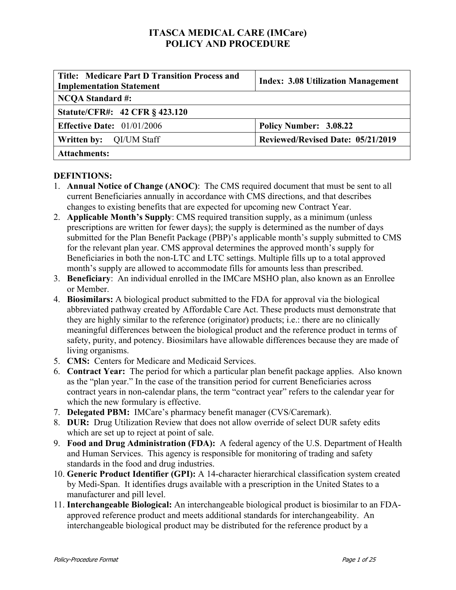| <b>Title: Medicare Part D Transition Process and</b><br><b>Implementation Statement</b> | <b>Index: 3.08 Utilization Management</b> |  |  |
|-----------------------------------------------------------------------------------------|-------------------------------------------|--|--|
| <b>NCQA Standard #:</b>                                                                 |                                           |  |  |
| <b>Statute/CFR#: 42 CFR § 423.120</b>                                                   |                                           |  |  |
| <b>Effective Date:</b> $01/01/2006$                                                     | Policy Number: 3.08.22                    |  |  |
| Reviewed/Revised Date: 05/21/2019<br><b>Written by:</b> QI/UM Staff                     |                                           |  |  |
| <b>Attachments:</b>                                                                     |                                           |  |  |

#### **DEFINTIONS:**

- 1. **Annual Notice of Change (ANOC)**: The CMS required document that must be sent to all current Beneficiaries annually in accordance with CMS directions, and that describes changes to existing benefits that are expected for upcoming new Contract Year.
- 2. **Applicable Month's Supply**: CMS required transition supply, as a minimum (unless prescriptions are written for fewer days); the supply is determined as the number of days submitted for the Plan Benefit Package (PBP)'s applicable month's supply submitted to CMS for the relevant plan year. CMS approval determines the approved month's supply for Beneficiaries in both the non-LTC and LTC settings. Multiple fills up to a total approved month's supply are allowed to accommodate fills for amounts less than prescribed.
- 3. **Beneficiary**: An individual enrolled in the IMCare MSHO plan, also known as an Enrollee or Member.
- 4. **Biosimilars:** A biological product submitted to the FDA for approval via the biological abbreviated pathway created by Affordable Care Act. These products must demonstrate that they are highly similar to the reference (originator) products; i.e.: there are no clinically meaningful differences between the biological product and the reference product in terms of safety, purity, and potency. Biosimilars have allowable differences because they are made of living organisms.
- 5. **CMS:** Centers for Medicare and Medicaid Services.
- 6. **Contract Year:** The period for which a particular plan benefit package applies. Also known as the "plan year." In the case of the transition period for current Beneficiaries across contract years in non-calendar plans, the term "contract year" refers to the calendar year for which the new formulary is effective.
- 7. **Delegated PBM:** IMCare's pharmacy benefit manager (CVS/Caremark).
- 8. **DUR:** Drug Utilization Review that does not allow override of select DUR safety edits which are set up to reject at point of sale.
- 9. **Food and Drug Administration (FDA):** A federal agency of the U.S. Department of Health and Human Services. This agency is responsible for monitoring of trading and safety standards in the food and drug industries.
- 10. **Generic Product Identifier (GPI):** A 14-character hierarchical classification system created by Medi-Span. It identifies drugs available with a prescription in the United States to a manufacturer and pill level.
- 11. **Interchangeable Biological:** An interchangeable biological product is biosimilar to an FDAapproved reference product and meets additional standards for interchangeability. An interchangeable biological product may be distributed for the reference product by a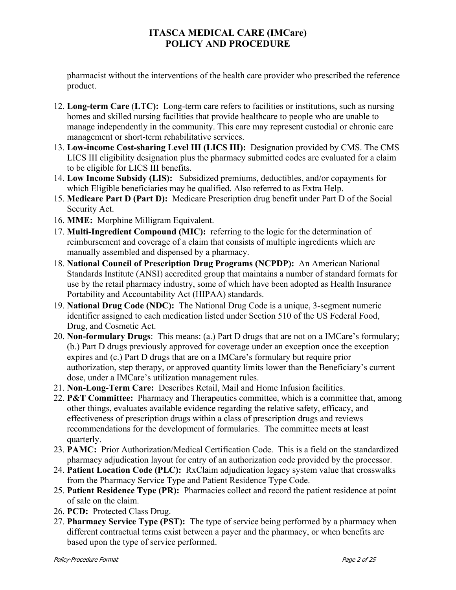pharmacist without the interventions of the health care provider who prescribed the reference product.

- 12. **Long-term Care** (**LTC):** Long-term care refers to facilities or institutions, such as nursing homes and skilled nursing facilities that provide healthcare to people who are unable to manage independently in the community. This care may represent custodial or chronic care management or short-term rehabilitative services.
- 13. **Low-income Cost-sharing Level III (LICS III):** Designation provided by CMS. The CMS LICS III eligibility designation plus the pharmacy submitted codes are evaluated for a claim to be eligible for LICS III benefits.
- 14. **Low Income Subsidy (LIS):** Subsidized premiums, deductibles, and/or copayments for which Eligible beneficiaries may be qualified. Also referred to as Extra Help.
- 15. **Medicare Part D (Part D):** Medicare Prescription drug benefit under Part D of the Social Security Act.
- 16. **MME:** Morphine Milligram Equivalent.
- 17. **Multi-Ingredient Compound (MIC):** referring to the logic for the determination of reimbursement and coverage of a claim that consists of multiple ingredients which are manually assembled and dispensed by a pharmacy.
- 18. **National Council of Prescription Drug Programs (NCPDP):** An American National Standards Institute (ANSI) accredited group that maintains a number of standard formats for use by the retail pharmacy industry, some of which have been adopted as Health Insurance Portability and Accountability Act (HIPAA) standards.
- 19. **National Drug Code (NDC):** The National Drug Code is a unique, 3-segment numeric identifier assigned to each medication listed under Section 510 of the US Federal Food, Drug, and Cosmetic Act.
- 20. **Non-formulary Drugs**: This means: (a.) Part D drugs that are not on a IMCare's formulary; (b.) Part D drugs previously approved for coverage under an exception once the exception expires and (c.) Part D drugs that are on a IMCare's formulary but require prior authorization, step therapy, or approved quantity limits lower than the Beneficiary's current dose, under a IMCare's utilization management rules.
- 21. **Non-Long-Term Care:** Describes Retail, Mail and Home Infusion facilities.
- 22. **P&T Committee:** Pharmacy and Therapeutics committee, which is a committee that, among other things, evaluates available evidence regarding the relative safety, efficacy, and effectiveness of prescription drugs within a class of prescription drugs and reviews recommendations for the development of formularies. The committee meets at least quarterly.
- 23. **PAMC:** Prior Authorization/Medical Certification Code. This is a field on the standardized pharmacy adjudication layout for entry of an authorization code provided by the processor.
- 24. **Patient Location Code (PLC):** RxClaim adjudication legacy system value that crosswalks from the Pharmacy Service Type and Patient Residence Type Code.
- 25. **Patient Residence Type (PR):** Pharmacies collect and record the patient residence at point of sale on the claim.
- 26. **PCD:** Protected Class Drug.
- 27. **Pharmacy Service Type (PST):** The type of service being performed by a pharmacy when different contractual terms exist between a payer and the pharmacy, or when benefits are based upon the type of service performed.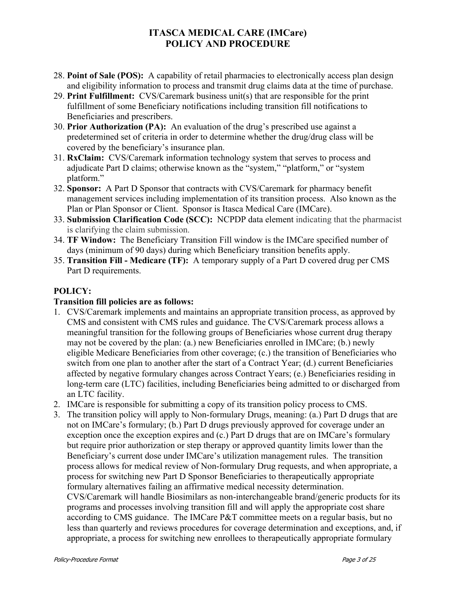- 28. **Point of Sale (POS):** A capability of retail pharmacies to electronically access plan design and eligibility information to process and transmit drug claims data at the time of purchase.
- 29. **Print Fulfillment:** CVS/Caremark business unit(s) that are responsible for the print fulfillment of some Beneficiary notifications including transition fill notifications to Beneficiaries and prescribers.
- 30. **Prior Authorization (PA):** An evaluation of the drug's prescribed use against a predetermined set of criteria in order to determine whether the drug/drug class will be covered by the beneficiary's insurance plan.
- 31. **RxClaim:** CVS/Caremark information technology system that serves to process and adjudicate Part D claims; otherwise known as the "system," "platform," or "system platform."
- 32. **Sponsor:** A Part D Sponsor that contracts with CVS/Caremark for pharmacy benefit management services including implementation of its transition process. Also known as the Plan or Plan Sponsor or Client. Sponsor is Itasca Medical Care (IMCare).
- 33. **Submission Clarification Code (SCC):** NCPDP data element indicating that the pharmacist is clarifying the claim submission.
- 34. **TF Window:** The Beneficiary Transition Fill window is the IMCare specified number of days (minimum of 90 days) during which Beneficiary transition benefits apply.
- 35. **Transition Fill Medicare (TF):** A temporary supply of a Part D covered drug per CMS Part D requirements.

### **POLICY:**

### **Transition fill policies are as follows:**

- 1. CVS/Caremark implements and maintains an appropriate transition process, as approved by CMS and consistent with CMS rules and guidance. The CVS/Caremark process allows a meaningful transition for the following groups of Beneficiaries whose current drug therapy may not be covered by the plan: (a.) new Beneficiaries enrolled in IMCare; (b.) newly eligible Medicare Beneficiaries from other coverage; (c.) the transition of Beneficiaries who switch from one plan to another after the start of a Contract Year; (d.) current Beneficiaries affected by negative formulary changes across Contract Years; (e.) Beneficiaries residing in long-term care (LTC) facilities, including Beneficiaries being admitted to or discharged from an LTC facility.
- 2. IMCare is responsible for submitting a copy of its transition policy process to CMS.
- 3. The transition policy will apply to Non-formulary Drugs, meaning: (a.) Part D drugs that are not on IMCare's formulary; (b.) Part D drugs previously approved for coverage under an exception once the exception expires and (c.) Part D drugs that are on IMCare's formulary but require prior authorization or step therapy or approved quantity limits lower than the Beneficiary's current dose under IMCare's utilization management rules. The transition process allows for medical review of Non-formulary Drug requests, and when appropriate, a process for switching new Part D Sponsor Beneficiaries to therapeutically appropriate formulary alternatives failing an affirmative medical necessity determination. CVS/Caremark will handle Biosimilars as non-interchangeable brand/generic products for its programs and processes involving transition fill and will apply the appropriate cost share according to CMS guidance. The IMCare P&T committee meets on a regular basis, but no less than quarterly and reviews procedures for coverage determination and exceptions, and, if appropriate, a process for switching new enrollees to therapeutically appropriate formulary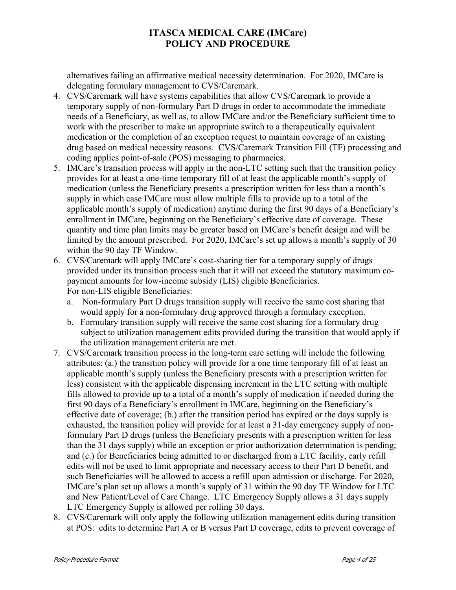alternatives failing an affirmative medical necessity determination. For 2020, IMCare is delegating formulary management to CVS/Caremark.

- 4. CVS/Caremark will have systems capabilities that allow CVS/Caremark to provide a temporary supply of non-formulary Part D drugs in order to accommodate the immediate needs of a Beneficiary, as well as, to allow IMCare and/or the Beneficiary sufficient time to work with the prescriber to make an appropriate switch to a therapeutically equivalent medication or the completion of an exception request to maintain coverage of an existing drug based on medical necessity reasons. CVS/Caremark Transition Fill (TF) processing and coding applies point-of-sale (POS) messaging to pharmacies.
- 5. IMCare's transition process will apply in the non-LTC setting such that the transition policy provides for at least a one-time temporary fill of at least the applicable month's supply of medication (unless the Beneficiary presents a prescription written for less than a month's supply in which case IMCare must allow multiple fills to provide up to a total of the applicable month's supply of medication) anytime during the first 90 days of a Beneficiary's enrollment in IMCare, beginning on the Beneficiary's effective date of coverage. These quantity and time plan limits may be greater based on IMCare's benefit design and will be limited by the amount prescribed. For 2020, IMCare's set up allows a month's supply of 30 within the 90 day TF Window.
- 6. CVS/Caremark will apply IMCare's cost-sharing tier for a temporary supply of drugs provided under its transition process such that it will not exceed the statutory maximum copayment amounts for low-income subsidy (LIS) eligible Beneficiaries. For non-LIS eligible Beneficiaries:
	- a. Non-formulary Part D drugs transition supply will receive the same cost sharing that would apply for a non-formulary drug approved through a formulary exception.
	- b. Formulary transition supply will receive the same cost sharing for a formulary drug subject to utilization management edits provided during the transition that would apply if the utilization management criteria are met.
- 7. CVS/Caremark transition process in the long-term care setting will include the following attributes: (a.) the transition policy will provide for a one time temporary fill of at least an applicable month's supply (unless the Beneficiary presents with a prescription written for less) consistent with the applicable dispensing increment in the LTC setting with multiple fills allowed to provide up to a total of a month's supply of medication if needed during the first 90 days of a Beneficiary's enrollment in IMCare, beginning on the Beneficiary's effective date of coverage; (b.) after the transition period has expired or the days supply is exhausted, the transition policy will provide for at least a 31-day emergency supply of nonformulary Part D drugs (unless the Beneficiary presents with a prescription written for less than the 31 days supply) while an exception or prior authorization determination is pending; and (c.) for Beneficiaries being admitted to or discharged from a LTC facility, early refill edits will not be used to limit appropriate and necessary access to their Part D benefit, and such Beneficiaries will be allowed to access a refill upon admission or discharge. For 2020, IMCare's plan set up allows a month's supply of 31 within the 90 day TF Window for LTC and New Patient/Level of Care Change. LTC Emergency Supply allows a 31 days supply LTC Emergency Supply is allowed per rolling 30 days.
- 8. CVS/Caremark will only apply the following utilization management edits during transition at POS: edits to determine Part A or B versus Part D coverage, edits to prevent coverage of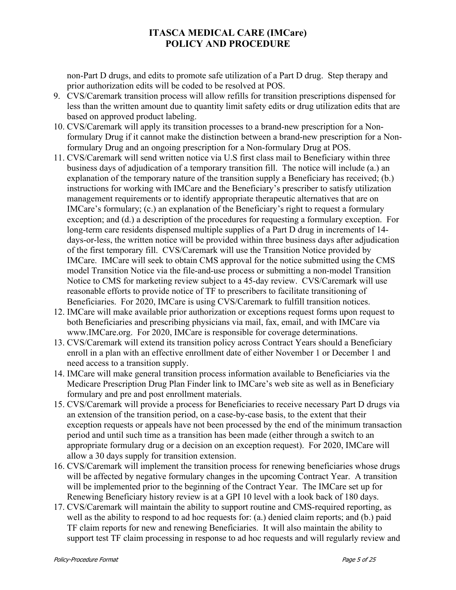non-Part D drugs, and edits to promote safe utilization of a Part D drug. Step therapy and prior authorization edits will be coded to be resolved at POS.

- 9. CVS/Caremark transition process will allow refills for transition prescriptions dispensed for less than the written amount due to quantity limit safety edits or drug utilization edits that are based on approved product labeling.
- 10. CVS/Caremark will apply its transition processes to a brand-new prescription for a Nonformulary Drug if it cannot make the distinction between a brand-new prescription for a Nonformulary Drug and an ongoing prescription for a Non-formulary Drug at POS.
- 11. CVS/Caremark will send written notice via U.S first class mail to Beneficiary within three business days of adjudication of a temporary transition fill. The notice will include (a.) an explanation of the temporary nature of the transition supply a Beneficiary has received; (b.) instructions for working with IMCare and the Beneficiary's prescriber to satisfy utilization management requirements or to identify appropriate therapeutic alternatives that are on IMCare's formulary; (c.) an explanation of the Beneficiary's right to request a formulary exception; and (d.) a description of the procedures for requesting a formulary exception. For long-term care residents dispensed multiple supplies of a Part D drug in increments of 14 days-or-less, the written notice will be provided within three business days after adjudication of the first temporary fill. CVS/Caremark will use the Transition Notice provided by IMCare. IMCare will seek to obtain CMS approval for the notice submitted using the CMS model Transition Notice via the file-and-use process or submitting a non-model Transition Notice to CMS for marketing review subject to a 45-day review. CVS/Caremark will use reasonable efforts to provide notice of TF to prescribers to facilitate transitioning of Beneficiaries. For 2020, IMCare is using CVS/Caremark to fulfill transition notices.
- 12. IMCare will make available prior authorization or exceptions request forms upon request to both Beneficiaries and prescribing physicians via mail, fax, email, and with IMCare via www.IMCare.org. For 2020, IMCare is responsible for coverage determinations.
- 13. CVS/Caremark will extend its transition policy across Contract Years should a Beneficiary enroll in a plan with an effective enrollment date of either November 1 or December 1 and need access to a transition supply.
- 14. IMCare will make general transition process information available to Beneficiaries via the Medicare Prescription Drug Plan Finder link to IMCare's web site as well as in Beneficiary formulary and pre and post enrollment materials.
- 15. CVS/Caremark will provide a process for Beneficiaries to receive necessary Part D drugs via an extension of the transition period, on a case-by-case basis, to the extent that their exception requests or appeals have not been processed by the end of the minimum transaction period and until such time as a transition has been made (either through a switch to an appropriate formulary drug or a decision on an exception request). For 2020, IMCare will allow a 30 days supply for transition extension.
- 16. CVS/Caremark will implement the transition process for renewing beneficiaries whose drugs will be affected by negative formulary changes in the upcoming Contract Year. A transition will be implemented prior to the beginning of the Contract Year. The IMCare set up for Renewing Beneficiary history review is at a GPI 10 level with a look back of 180 days.
- 17. CVS/Caremark will maintain the ability to support routine and CMS-required reporting, as well as the ability to respond to ad hoc requests for: (a.) denied claim reports; and (b.) paid TF claim reports for new and renewing Beneficiaries. It will also maintain the ability to support test TF claim processing in response to ad hoc requests and will regularly review and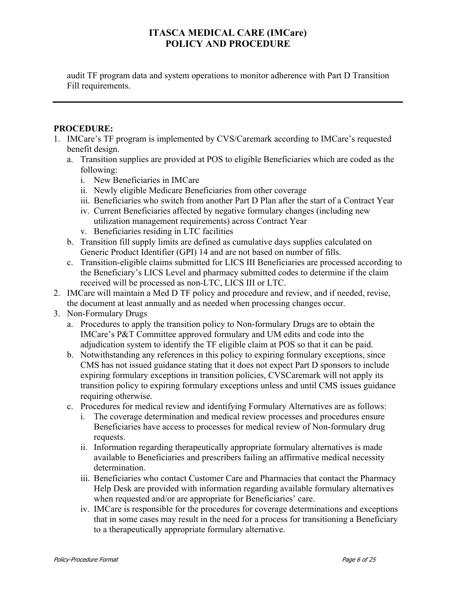audit TF program data and system operations to monitor adherence with Part D Transition Fill requirements.

### **PROCEDURE:**

- 1. IMCare's TF program is implemented by CVS/Caremark according to IMCare's requested benefit design.
	- a. Transition supplies are provided at POS to eligible Beneficiaries which are coded as the following:
		- i. New Beneficiaries in IMCare
		- ii. Newly eligible Medicare Beneficiaries from other coverage
		- iii. Beneficiaries who switch from another Part D Plan after the start of a Contract Year
		- iv. Current Beneficiaries affected by negative formulary changes (including new utilization management requirements) across Contract Year
		- v. Beneficiaries residing in LTC facilities
	- b. Transition fill supply limits are defined as cumulative days supplies calculated on Generic Product Identifier (GPI) 14 and are not based on number of fills.
	- c. Transition-eligible claims submitted for LICS III Beneficiaries are processed according to the Beneficiary's LICS Level and pharmacy submitted codes to determine if the claim received will be processed as non-LTC, LICS III or LTC.
- 2. IMCare will maintain a Med D TF policy and procedure and review, and if needed, revise, the document at least annually and as needed when processing changes occur.
- 3. Non-Formulary Drugs
	- a. Procedures to apply the transition policy to Non-formulary Drugs are to obtain the IMCare's P&T Committee approved formulary and UM edits and code into the adjudication system to identify the TF eligible claim at POS so that it can be paid.
	- b. Notwithstanding any references in this policy to expiring formulary exceptions, since CMS has not issued guidance stating that it does not expect Part D sponsors to include expiring formulary exceptions in transition policies, CVSCaremark will not apply its transition policy to expiring formulary exceptions unless and until CMS issues guidance requiring otherwise.
	- c. Procedures for medical review and identifying Formulary Alternatives are as follows:
		- i. The coverage determination and medical review processes and procedures ensure Beneficiaries have access to processes for medical review of Non-formulary drug requests.
		- ii. Information regarding therapeutically appropriate formulary alternatives is made available to Beneficiaries and prescribers failing an affirmative medical necessity determination.
		- iii. Beneficiaries who contact Customer Care and Pharmacies that contact the Pharmacy Help Desk are provided with information regarding available formulary alternatives when requested and/or are appropriate for Beneficiaries' care.
		- iv. IMCare is responsible for the procedures for coverage determinations and exceptions that in some cases may result in the need for a process for transitioning a Beneficiary to a therapeutically appropriate formulary alternative.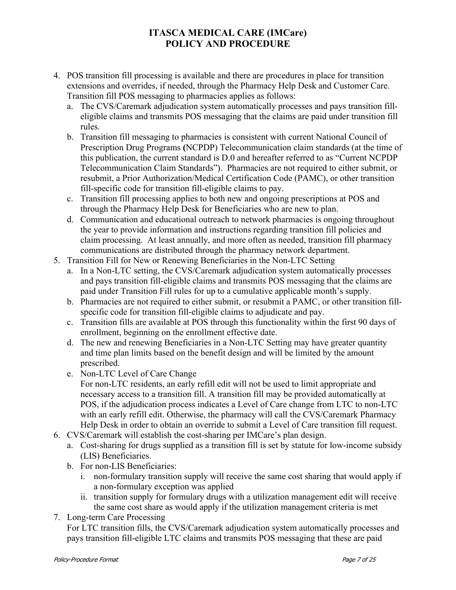- 4. POS transition fill processing is available and there are procedures in place for transition extensions and overrides, if needed, through the Pharmacy Help Desk and Customer Care. Transition fill POS messaging to pharmacies applies as follows:
	- a. The CVS/Caremark adjudication system automatically processes and pays transition filleligible claims and transmits POS messaging that the claims are paid under transition fill rules.
	- b. Transition fill messaging to pharmacies is consistent with current National Council of Prescription Drug Programs **(**NCPDP) Telecommunication claim standards (at the time of this publication, the current standard is D.0 and hereafter referred to as "Current NCPDP Telecommunication Claim Standards"). Pharmacies are not required to either submit, or resubmit, a Prior Authorization/Medical Certification Code (PAMC), or other transition fill-specific code for transition fill-eligible claims to pay.
	- c. Transition fill processing applies to both new and ongoing prescriptions at POS and through the Pharmacy Help Desk for Beneficiaries who are new to plan.
	- d. Communication and educational outreach to network pharmacies is ongoing throughout the year to provide information and instructions regarding transition fill policies and claim processing. At least annually, and more often as needed, transition fill pharmacy communications are distributed through the pharmacy network department.
- 5. Transition Fill for New or Renewing Beneficiaries in the Non-LTC Setting
	- a. In a Non-LTC setting, the CVS/Caremark adjudication system automatically processes and pays transition fill-eligible claims and transmits POS messaging that the claims are paid under Transition Fill rules for up to a cumulative applicable month's supply.
	- b. Pharmacies are not required to either submit, or resubmit a PAMC, or other transition fillspecific code for transition fill-eligible claims to adjudicate and pay.
	- c. Transition fills are available at POS through this functionality within the first 90 days of enrollment, beginning on the enrollment effective date.
	- d. The new and renewing Beneficiaries in a Non-LTC Setting may have greater quantity and time plan limits based on the benefit design and will be limited by the amount prescribed.
	- e. Non-LTC Level of Care Change
		- For non-LTC residents, an early refill edit will not be used to limit appropriate and necessary access to a transition fill. A transition fill may be provided automatically at POS, if the adjudication process indicates a Level of Care change from LTC to non-LTC with an early refill edit. Otherwise, the pharmacy will call the CVS/Caremark Pharmacy Help Desk in order to obtain an override to submit a Level of Care transition fill request.
- 6. CVS/Caremark will establish the cost-sharing per IMCare's plan design.
	- a. Cost-sharing for drugs supplied as a transition fill is set by statute for low-income subsidy (LIS) Beneficiaries.
	- b. For non-LIS Beneficiaries:
		- i. non-formulary transition supply will receive the same cost sharing that would apply if a non-formulary exception was applied
		- ii. transition supply for formulary drugs with a utilization management edit will receive the same cost share as would apply if the utilization management criteria is met
- 7. Long-term Care Processing

For LTC transition fills, the CVS/Caremark adjudication system automatically processes and pays transition fill-eligible LTC claims and transmits POS messaging that these are paid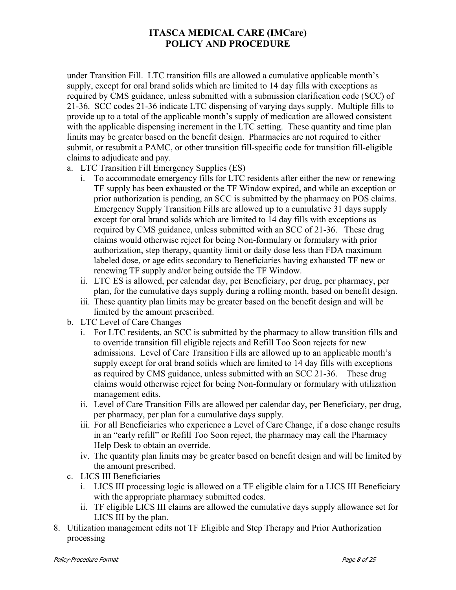under Transition Fill. LTC transition fills are allowed a cumulative applicable month's supply, except for oral brand solids which are limited to 14 day fills with exceptions as required by CMS guidance, unless submitted with a submission clarification code (SCC) of 21-36. SCC codes 21-36 indicate LTC dispensing of varying days supply. Multiple fills to provide up to a total of the applicable month's supply of medication are allowed consistent with the applicable dispensing increment in the LTC setting. These quantity and time plan limits may be greater based on the benefit design. Pharmacies are not required to either submit, or resubmit a PAMC, or other transition fill-specific code for transition fill-eligible claims to adjudicate and pay.

- a. LTC Transition Fill Emergency Supplies (ES)
	- i. To accommodate emergency fills for LTC residents after either the new or renewing TF supply has been exhausted or the TF Window expired, and while an exception or prior authorization is pending, an SCC is submitted by the pharmacy on POS claims. Emergency Supply Transition Fills are allowed up to a cumulative 31 days supply except for oral brand solids which are limited to 14 day fills with exceptions as required by CMS guidance, unless submitted with an SCC of 21-36. These drug claims would otherwise reject for being Non-formulary or formulary with prior authorization, step therapy, quantity limit or daily dose less than FDA maximum labeled dose, or age edits secondary to Beneficiaries having exhausted TF new or renewing TF supply and/or being outside the TF Window.
	- ii. LTC ES is allowed, per calendar day, per Beneficiary, per drug, per pharmacy, per plan, for the cumulative days supply during a rolling month, based on benefit design.
	- iii. These quantity plan limits may be greater based on the benefit design and will be limited by the amount prescribed.
- b. LTC Level of Care Changes
	- i. For LTC residents, an SCC is submitted by the pharmacy to allow transition fills and to override transition fill eligible rejects and Refill Too Soon rejects for new admissions. Level of Care Transition Fills are allowed up to an applicable month's supply except for oral brand solids which are limited to 14 day fills with exceptions as required by CMS guidance, unless submitted with an SCC 21-36. These drug claims would otherwise reject for being Non-formulary or formulary with utilization management edits.
	- ii. Level of Care Transition Fills are allowed per calendar day, per Beneficiary, per drug, per pharmacy, per plan for a cumulative days supply.
	- iii. For all Beneficiaries who experience a Level of Care Change, if a dose change results in an "early refill" or Refill Too Soon reject, the pharmacy may call the Pharmacy Help Desk to obtain an override.
	- iv. The quantity plan limits may be greater based on benefit design and will be limited by the amount prescribed.
- c. LICS III Beneficiaries
	- i. LICS III processing logic is allowed on a TF eligible claim for a LICS III Beneficiary with the appropriate pharmacy submitted codes.
	- ii. TF eligible LICS III claims are allowed the cumulative days supply allowance set for LICS III by the plan.
- 8. Utilization management edits not TF Eligible and Step Therapy and Prior Authorization processing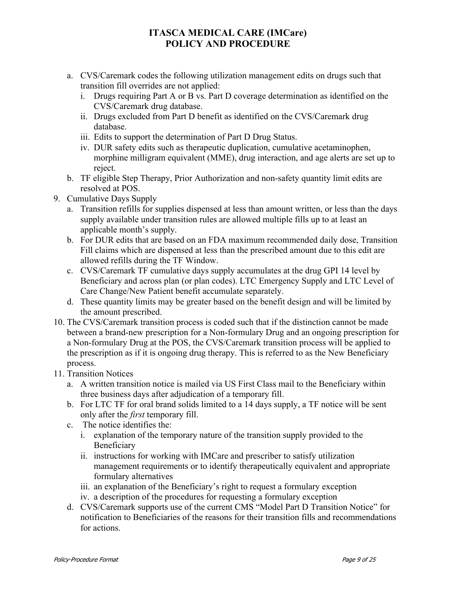- a. CVS/Caremark codes the following utilization management edits on drugs such that transition fill overrides are not applied:
	- i. Drugs requiring Part A or B vs. Part D coverage determination as identified on the CVS/Caremark drug database.
	- ii. Drugs excluded from Part D benefit as identified on the CVS/Caremark drug database.
	- iii. Edits to support the determination of Part D Drug Status.
	- iv. DUR safety edits such as therapeutic duplication, cumulative acetaminophen, morphine milligram equivalent (MME), drug interaction, and age alerts are set up to reject.
- b. TF eligible Step Therapy, Prior Authorization and non-safety quantity limit edits are resolved at POS.
- 9. Cumulative Days Supply
	- a. Transition refills for supplies dispensed at less than amount written, or less than the days supply available under transition rules are allowed multiple fills up to at least an applicable month's supply.
	- b. For DUR edits that are based on an FDA maximum recommended daily dose, Transition Fill claims which are dispensed at less than the prescribed amount due to this edit are allowed refills during the TF Window.
	- c. CVS/Caremark TF cumulative days supply accumulates at the drug GPI 14 level by Beneficiary and across plan (or plan codes). LTC Emergency Supply and LTC Level of Care Change/New Patient benefit accumulate separately.
	- d. These quantity limits may be greater based on the benefit design and will be limited by the amount prescribed.
- 10. The CVS/Caremark transition process is coded such that if the distinction cannot be made between a brand-new prescription for a Non-formulary Drug and an ongoing prescription for a Non-formulary Drug at the POS, the CVS/Caremark transition process will be applied to the prescription as if it is ongoing drug therapy. This is referred to as the New Beneficiary process.
- 11. Transition Notices
	- a. A written transition notice is mailed via US First Class mail to the Beneficiary within three business days after adjudication of a temporary fill.
	- b. For LTC TF for oral brand solids limited to a 14 days supply, a TF notice will be sent only after the *first* temporary fill.
	- c. The notice identifies the:
		- i. explanation of the temporary nature of the transition supply provided to the Beneficiary
		- ii. instructions for working with IMCare and prescriber to satisfy utilization management requirements or to identify therapeutically equivalent and appropriate formulary alternatives
		- iii. an explanation of the Beneficiary's right to request a formulary exception
		- iv. a description of the procedures for requesting a formulary exception
	- d. CVS/Caremark supports use of the current CMS "Model Part D Transition Notice" for notification to Beneficiaries of the reasons for their transition fills and recommendations for actions.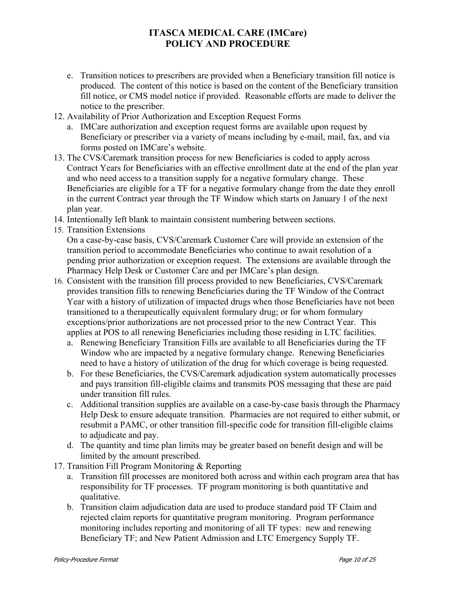- e. Transition notices to prescribers are provided when a Beneficiary transition fill notice is produced. The content of this notice is based on the content of the Beneficiary transition fill notice, or CMS model notice if provided. Reasonable efforts are made to deliver the notice to the prescriber.
- 12. Availability of Prior Authorization and Exception Request Forms
	- a. IMCare authorization and exception request forms are available upon request by Beneficiary or prescriber via a variety of means including by e-mail, mail, fax, and via forms posted on IMCare's website.
- 13. The CVS/Caremark transition process for new Beneficiaries is coded to apply across Contract Years for Beneficiaries with an effective enrollment date at the end of the plan year and who need access to a transition supply for a negative formulary change. These Beneficiaries are eligible for a TF for a negative formulary change from the date they enroll in the current Contract year through the TF Window which starts on January 1 of the next plan year.
- 14. Intentionally left blank to maintain consistent numbering between sections.
- 15. Transition Extensions On a case-by-case basis, CVS/Caremark Customer Care will provide an extension of the transition period to accommodate Beneficiaries who continue to await resolution of a pending prior authorization or exception request. The extensions are available through the Pharmacy Help Desk or Customer Care and per IMCare's plan design.
- 16. Consistent with the transition fill process provided to new Beneficiaries, CVS/Caremark provides transition fills to renewing Beneficiaries during the TF Window of the Contract Year with a history of utilization of impacted drugs when those Beneficiaries have not been transitioned to a therapeutically equivalent formulary drug; or for whom formulary exceptions/prior authorizations are not processed prior to the new Contract Year. This applies at POS to all renewing Beneficiaries including those residing in LTC facilities.
	- a. Renewing Beneficiary Transition Fills are available to all Beneficiaries during the TF Window who are impacted by a negative formulary change. Renewing Beneficiaries need to have a history of utilization of the drug for which coverage is being requested.
	- b. For these Beneficiaries, the CVS/Caremark adjudication system automatically processes and pays transition fill-eligible claims and transmits POS messaging that these are paid under transition fill rules.
	- c. Additional transition supplies are available on a case-by-case basis through the Pharmacy Help Desk to ensure adequate transition. Pharmacies are not required to either submit, or resubmit a PAMC, or other transition fill-specific code for transition fill-eligible claims to adjudicate and pay.
	- d. The quantity and time plan limits may be greater based on benefit design and will be limited by the amount prescribed.
- 17. Transition Fill Program Monitoring & Reporting
	- a. Transition fill processes are monitored both across and within each program area that has responsibility for TF processes. TF program monitoring is both quantitative and qualitative.
	- b. Transition claim adjudication data are used to produce standard paid TF Claim and rejected claim reports for quantitative program monitoring. Program performance monitoring includes reporting and monitoring of all TF types: new and renewing Beneficiary TF; and New Patient Admission and LTC Emergency Supply TF.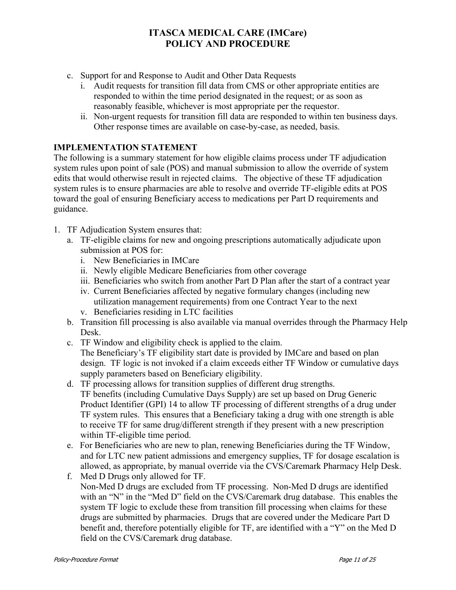- c. Support for and Response to Audit and Other Data Requests
	- i. Audit requests for transition fill data from CMS or other appropriate entities are responded to within the time period designated in the request; or as soon as reasonably feasible, whichever is most appropriate per the requestor.
	- ii. Non-urgent requests for transition fill data are responded to within ten business days. Other response times are available on case-by-case, as needed, basis.

### **IMPLEMENTATION STATEMENT**

The following is a summary statement for how eligible claims process under TF adjudication system rules upon point of sale (POS) and manual submission to allow the override of system edits that would otherwise result in rejected claims. The objective of these TF adjudication system rules is to ensure pharmacies are able to resolve and override TF-eligible edits at POS toward the goal of ensuring Beneficiary access to medications per Part D requirements and guidance.

- 1. TF Adjudication System ensures that:
	- a. TF-eligible claims for new and ongoing prescriptions automatically adjudicate upon submission at POS for:
		- i. New Beneficiaries in IMCare
		- ii. Newly eligible Medicare Beneficiaries from other coverage
		- iii. Beneficiaries who switch from another Part D Plan after the start of a contract year
		- iv. Current Beneficiaries affected by negative formulary changes (including new utilization management requirements) from one Contract Year to the next
		- v. Beneficiaries residing in LTC facilities
	- b. Transition fill processing is also available via manual overrides through the Pharmacy Help Desk.
	- c. TF Window and eligibility check is applied to the claim.

The Beneficiary's TF eligibility start date is provided by IMCare and based on plan design. TF logic is not invoked if a claim exceeds either TF Window or cumulative days supply parameters based on Beneficiary eligibility.

- d. TF processing allows for transition supplies of different drug strengths. TF benefits (including Cumulative Days Supply) are set up based on Drug Generic Product Identifier (GPI) 14 to allow TF processing of different strengths of a drug under TF system rules. This ensures that a Beneficiary taking a drug with one strength is able to receive TF for same drug/different strength if they present with a new prescription within TF-eligible time period.
- e. For Beneficiaries who are new to plan, renewing Beneficiaries during the TF Window, and for LTC new patient admissions and emergency supplies, TF for dosage escalation is allowed, as appropriate, by manual override via the CVS/Caremark Pharmacy Help Desk.
- f. Med D Drugs only allowed for TF. Non-Med D drugs are excluded from TF processing. Non-Med D drugs are identified with an "N" in the "Med D" field on the CVS/Caremark drug database. This enables the system TF logic to exclude these from transition fill processing when claims for these drugs are submitted by pharmacies. Drugs that are covered under the Medicare Part D benefit and, therefore potentially eligible for TF, are identified with a "Y" on the Med D field on the CVS/Caremark drug database.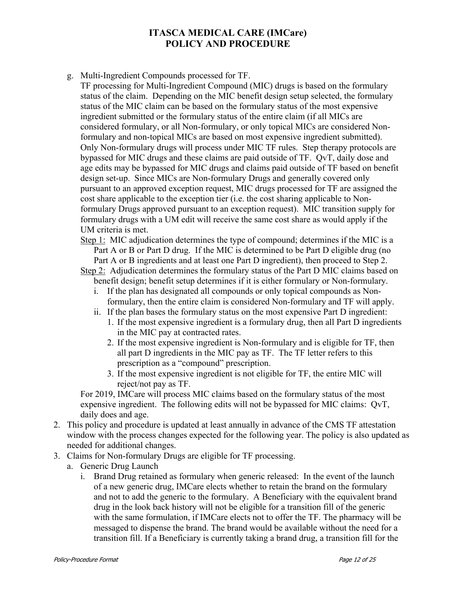g. Multi-Ingredient Compounds processed for TF.

TF processing for Multi-Ingredient Compound (MIC) drugs is based on the formulary status of the claim. Depending on the MIC benefit design setup selected, the formulary status of the MIC claim can be based on the formulary status of the most expensive ingredient submitted or the formulary status of the entire claim (if all MICs are considered formulary, or all Non-formulary, or only topical MICs are considered Nonformulary and non-topical MICs are based on most expensive ingredient submitted). Only Non-formulary drugs will process under MIC TF rules. Step therapy protocols are bypassed for MIC drugs and these claims are paid outside of TF. QvT, daily dose and age edits may be bypassed for MIC drugs and claims paid outside of TF based on benefit design set-up. Since MICs are Non-formulary Drugs and generally covered only pursuant to an approved exception request, MIC drugs processed for TF are assigned the cost share applicable to the exception tier (i.e. the cost sharing applicable to Nonformulary Drugs approved pursuant to an exception request). MIC transition supply for formulary drugs with a UM edit will receive the same cost share as would apply if the UM criteria is met.

Step 1: MIC adjudication determines the type of compound; determines if the MIC is a Part A or B or Part D drug. If the MIC is determined to be Part D eligible drug (no Part A or B ingredients and at least one Part D ingredient), then proceed to Step 2.

Step 2: Adjudication determines the formulary status of the Part D MIC claims based on benefit design; benefit setup determines if it is either formulary or Non-formulary.

- i. If the plan has designated all compounds or only topical compounds as Nonformulary, then the entire claim is considered Non-formulary and TF will apply.
- ii. If the plan bases the formulary status on the most expensive Part D ingredient:
	- 1. If the most expensive ingredient is a formulary drug, then all Part D ingredients in the MIC pay at contracted rates.
	- 2. If the most expensive ingredient is Non-formulary and is eligible for TF, then all part D ingredients in the MIC pay as TF. The TF letter refers to this prescription as a "compound" prescription.
	- 3. If the most expensive ingredient is not eligible for TF, the entire MIC will reject/not pay as TF.

For 2019, IMCare will process MIC claims based on the formulary status of the most expensive ingredient. The following edits will not be bypassed for MIC claims: QvT, daily does and age.

- 2. This policy and procedure is updated at least annually in advance of the CMS TF attestation window with the process changes expected for the following year. The policy is also updated as needed for additional changes.
- 3. Claims for Non-formulary Drugs are eligible for TF processing.
	- a. Generic Drug Launch
		- i. Brand Drug retained as formulary when generic released: In the event of the launch of a new generic drug, IMCare elects whether to retain the brand on the formulary and not to add the generic to the formulary. A Beneficiary with the equivalent brand drug in the look back history will not be eligible for a transition fill of the generic with the same formulation, if IMCare elects not to offer the TF. The pharmacy will be messaged to dispense the brand. The brand would be available without the need for a transition fill. If a Beneficiary is currently taking a brand drug, a transition fill for the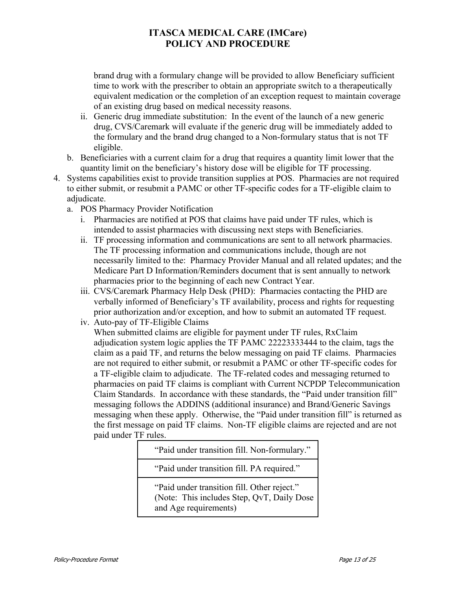brand drug with a formulary change will be provided to allow Beneficiary sufficient time to work with the prescriber to obtain an appropriate switch to a therapeutically equivalent medication or the completion of an exception request to maintain coverage of an existing drug based on medical necessity reasons.

- ii. Generic drug immediate substitution: In the event of the launch of a new generic drug, CVS/Caremark will evaluate if the generic drug will be immediately added to the formulary and the brand drug changed to a Non-formulary status that is not TF eligible.
- b. Beneficiaries with a current claim for a drug that requires a quantity limit lower that the quantity limit on the beneficiary's history dose will be eligible for TF processing.
- 4. Systems capabilities exist to provide transition supplies at POS. Pharmacies are not required to either submit, or resubmit a PAMC or other TF-specific codes for a TF-eligible claim to adjudicate.
	- a. POS Pharmacy Provider Notification
		- i. Pharmacies are notified at POS that claims have paid under TF rules, which is intended to assist pharmacies with discussing next steps with Beneficiaries.
		- ii. TF processing information and communications are sent to all network pharmacies. The TF processing information and communications include, though are not necessarily limited to the: Pharmacy Provider Manual and all related updates; and the Medicare Part D Information/Reminders document that is sent annually to network pharmacies prior to the beginning of each new Contract Year.
		- iii. CVS/Caremark Pharmacy Help Desk (PHD): Pharmacies contacting the PHD are verbally informed of Beneficiary's TF availability, process and rights for requesting prior authorization and/or exception, and how to submit an automated TF request.
		- iv. Auto-pay of TF-Eligible Claims

When submitted claims are eligible for payment under TF rules, RxClaim adjudication system logic applies the TF PAMC 22223333444 to the claim, tags the claim as a paid TF, and returns the below messaging on paid TF claims. Pharmacies are not required to either submit, or resubmit a PAMC or other TF-specific codes for a TF-eligible claim to adjudicate. The TF-related codes and messaging returned to pharmacies on paid TF claims is compliant with Current NCPDP Telecommunication Claim Standards. In accordance with these standards, the "Paid under transition fill" messaging follows the ADDINS (additional insurance) and Brand/Generic Savings messaging when these apply. Otherwise, the "Paid under transition fill" is returned as the first message on paid TF claims. Non-TF eligible claims are rejected and are not paid under TF rules.

"Paid under transition fill. Non-formulary."

"Paid under transition fill. PA required."

"Paid under transition fill. Other reject." (Note: This includes Step, QvT, Daily Dose and Age requirements)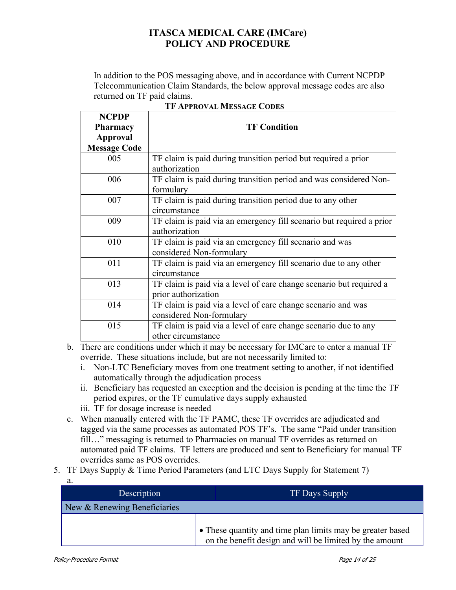In addition to the POS messaging above, and in accordance with Current NCPDP Telecommunication Claim Standards, the below approval message codes are also returned on TF paid claims.

| <b>NCPDP</b><br><b>Pharmacy</b> | <b>TF Condition</b>                                                                        |
|---------------------------------|--------------------------------------------------------------------------------------------|
| Approval<br><b>Message Code</b> |                                                                                            |
| 005                             | TF claim is paid during transition period but required a prior<br>authorization            |
| 006                             | TF claim is paid during transition period and was considered Non-<br>formulary             |
| 007                             | TF claim is paid during transition period due to any other<br>circumstance                 |
| 009                             | TF claim is paid via an emergency fill scenario but required a prior<br>authorization      |
| 010                             | TF claim is paid via an emergency fill scenario and was<br>considered Non-formulary        |
| 011                             | TF claim is paid via an emergency fill scenario due to any other<br>circumstance           |
| 013                             | TF claim is paid via a level of care change scenario but required a<br>prior authorization |
| 014                             | TF claim is paid via a level of care change scenario and was<br>considered Non-formulary   |
| 015                             | TF claim is paid via a level of care change scenario due to any<br>other circumstance      |

#### **TF APPROVAL MESSAGE CODES**

b. There are conditions under which it may be necessary for IMCare to enter a manual TF override. These situations include, but are not necessarily limited to:

- i. Non-LTC Beneficiary moves from one treatment setting to another, if not identified automatically through the adjudication process
- ii. Beneficiary has requested an exception and the decision is pending at the time the TF period expires, or the TF cumulative days supply exhausted
- iii. TF for dosage increase is needed
- c. When manually entered with the TF PAMC, these TF overrides are adjudicated and tagged via the same processes as automated POS TF's. The same "Paid under transition fill…" messaging is returned to Pharmacies on manual TF overrides as returned on automated paid TF claims. TF letters are produced and sent to Beneficiary for manual TF overrides same as POS overrides.
- 5. TF Days Supply & Time Period Parameters (and LTC Days Supply for Statement 7)

| a.                           |                                                                                                                       |
|------------------------------|-----------------------------------------------------------------------------------------------------------------------|
| Description                  | <b>TF Days Supply</b>                                                                                                 |
| New & Renewing Beneficiaries |                                                                                                                       |
|                              | • These quantity and time plan limits may be greater based<br>on the benefit design and will be limited by the amount |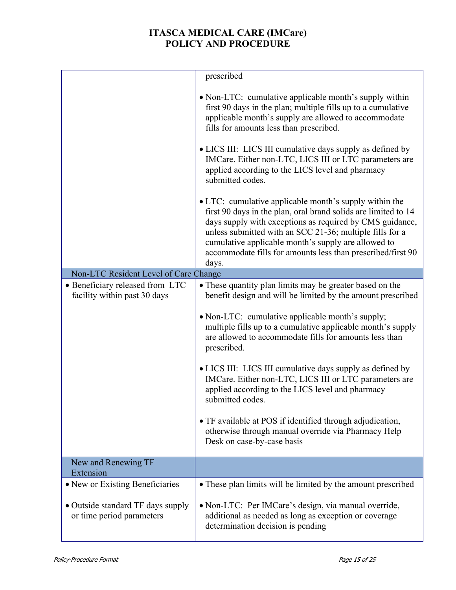|                                                                 | prescribed                                                                                                                                                                                                                                                                                                                                                                      |  |  |
|-----------------------------------------------------------------|---------------------------------------------------------------------------------------------------------------------------------------------------------------------------------------------------------------------------------------------------------------------------------------------------------------------------------------------------------------------------------|--|--|
|                                                                 | • Non-LTC: cumulative applicable month's supply within<br>first 90 days in the plan; multiple fills up to a cumulative<br>applicable month's supply are allowed to accommodate<br>fills for amounts less than prescribed.                                                                                                                                                       |  |  |
|                                                                 | • LICS III: LICS III cumulative days supply as defined by<br>IMCare. Either non-LTC, LICS III or LTC parameters are<br>applied according to the LICS level and pharmacy<br>submitted codes.                                                                                                                                                                                     |  |  |
|                                                                 | • LTC: cumulative applicable month's supply within the<br>first 90 days in the plan, oral brand solids are limited to 14<br>days supply with exceptions as required by CMS guidance,<br>unless submitted with an SCC 21-36; multiple fills for a<br>cumulative applicable month's supply are allowed to<br>accommodate fills for amounts less than prescribed/first 90<br>days. |  |  |
| Non-LTC Resident Level of Care Change                           |                                                                                                                                                                                                                                                                                                                                                                                 |  |  |
| • Beneficiary released from LTC<br>facility within past 30 days | • These quantity plan limits may be greater based on the<br>benefit design and will be limited by the amount prescribed                                                                                                                                                                                                                                                         |  |  |
|                                                                 | • Non-LTC: cumulative applicable month's supply;<br>multiple fills up to a cumulative applicable month's supply<br>are allowed to accommodate fills for amounts less than<br>prescribed.                                                                                                                                                                                        |  |  |
|                                                                 | • LICS III: LICS III cumulative days supply as defined by<br>IMCare. Either non-LTC, LICS III or LTC parameters are<br>applied according to the LICS level and pharmacy<br>submitted codes                                                                                                                                                                                      |  |  |
|                                                                 | • TF available at POS if identified through adjudication,<br>otherwise through manual override via Pharmacy Help<br>Desk on case-by-case basis                                                                                                                                                                                                                                  |  |  |
| New and Renewing TF<br>Extension                                |                                                                                                                                                                                                                                                                                                                                                                                 |  |  |
| • New or Existing Beneficiaries                                 | • These plan limits will be limited by the amount prescribed                                                                                                                                                                                                                                                                                                                    |  |  |
| • Outside standard TF days supply<br>or time period parameters  | • Non-LTC: Per IMCare's design, via manual override,<br>additional as needed as long as exception or coverage<br>determination decision is pending                                                                                                                                                                                                                              |  |  |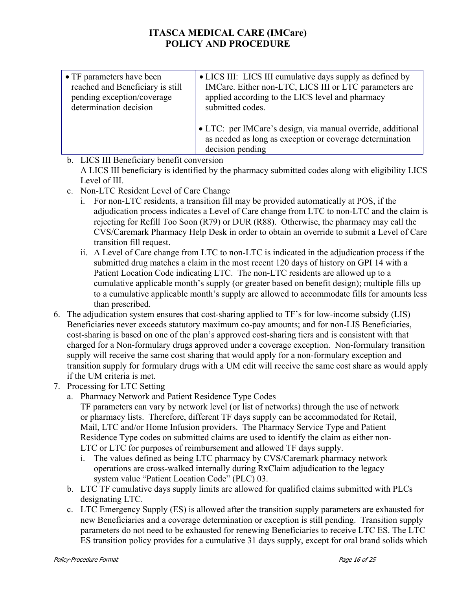| • TF parameters have been        | • LICS III: LICS III cumulative days supply as defined by                                                                                   |
|----------------------------------|---------------------------------------------------------------------------------------------------------------------------------------------|
| reached and Beneficiary is still | IMCare. Either non-LTC, LICS III or LTC parameters are                                                                                      |
| pending exception/coverage       | applied according to the LICS level and pharmacy                                                                                            |
| determination decision           | submitted codes.                                                                                                                            |
|                                  | • LTC: per IMCare's design, via manual override, additional<br>as needed as long as exception or coverage determination<br>decision pending |

b. LICS III Beneficiary benefit conversion

A LICS III beneficiary is identified by the pharmacy submitted codes along with eligibility LICS Level of III.

- c. Non-LTC Resident Level of Care Change
	- i. For non-LTC residents, a transition fill may be provided automatically at POS, if the adjudication process indicates a Level of Care change from LTC to non-LTC and the claim is rejecting for Refill Too Soon (R79) or DUR (R88). Otherwise, the pharmacy may call the CVS/Caremark Pharmacy Help Desk in order to obtain an override to submit a Level of Care transition fill request.
	- ii. A Level of Care change from LTC to non-LTC is indicated in the adjudication process if the submitted drug matches a claim in the most recent 120 days of history on GPI 14 with a Patient Location Code indicating LTC. The non-LTC residents are allowed up to a cumulative applicable month's supply (or greater based on benefit design); multiple fills up to a cumulative applicable month's supply are allowed to accommodate fills for amounts less than prescribed.
- 6. The adjudication system ensures that cost-sharing applied to TF's for low-income subsidy (LIS) Beneficiaries never exceeds statutory maximum co-pay amounts; and for non-LIS Beneficiaries, cost-sharing is based on one of the plan's approved cost-sharing tiers and is consistent with that charged for a Non-formulary drugs approved under a coverage exception. Non-formulary transition supply will receive the same cost sharing that would apply for a non-formulary exception and transition supply for formulary drugs with a UM edit will receive the same cost share as would apply if the UM criteria is met.
- 7. Processing for LTC Setting
	- a. Pharmacy Network and Patient Residence Type Codes

TF parameters can vary by network level (or list of networks) through the use of network or pharmacy lists. Therefore, different TF days supply can be accommodated for Retail, Mail, LTC and/or Home Infusion providers. The Pharmacy Service Type and Patient Residence Type codes on submitted claims are used to identify the claim as either non-LTC or LTC for purposes of reimbursement and allowed TF days supply.

- i. The values defined as being LTC pharmacy by CVS/Caremark pharmacy network operations are cross-walked internally during RxClaim adjudication to the legacy system value "Patient Location Code" (PLC) 03.
- b. LTC TF cumulative days supply limits are allowed for qualified claims submitted with PLCs designating LTC.
- c. LTC Emergency Supply (ES) is allowed after the transition supply parameters are exhausted for new Beneficiaries and a coverage determination or exception is still pending. Transition supply parameters do not need to be exhausted for renewing Beneficiaries to receive LTC ES. The LTC ES transition policy provides for a cumulative 31 days supply, except for oral brand solids which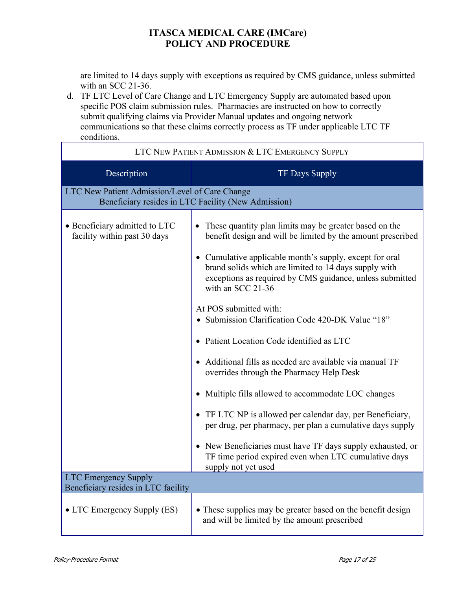are limited to 14 days supply with exceptions as required by CMS guidance, unless submitted with an SCC 21-36.

d. TF LTC Level of Care Change and LTC Emergency Supply are automated based upon specific POS claim submission rules. Pharmacies are instructed on how to correctly submit qualifying claims via Provider Manual updates and ongoing network communications so that these claims correctly process as TF under applicable LTC TF conditions.

| LTC NEW PATIENT ADMISSION & LTC EMERGENCY SUPPLY                                                      |                                                                                                                                                                                                                                                                                                                                                                                                                                                                                                                                                                                                                                                                                                                                                                                                                                                                                            |  |  |  |
|-------------------------------------------------------------------------------------------------------|--------------------------------------------------------------------------------------------------------------------------------------------------------------------------------------------------------------------------------------------------------------------------------------------------------------------------------------------------------------------------------------------------------------------------------------------------------------------------------------------------------------------------------------------------------------------------------------------------------------------------------------------------------------------------------------------------------------------------------------------------------------------------------------------------------------------------------------------------------------------------------------------|--|--|--|
| Description                                                                                           | TF Days Supply                                                                                                                                                                                                                                                                                                                                                                                                                                                                                                                                                                                                                                                                                                                                                                                                                                                                             |  |  |  |
| LTC New Patient Admission/Level of Care Change<br>Beneficiary resides in LTC Facility (New Admission) |                                                                                                                                                                                                                                                                                                                                                                                                                                                                                                                                                                                                                                                                                                                                                                                                                                                                                            |  |  |  |
| • Beneficiary admitted to LTC<br>facility within past 30 days                                         | These quantity plan limits may be greater based on the<br>benefit design and will be limited by the amount prescribed<br>• Cumulative applicable month's supply, except for oral<br>brand solids which are limited to 14 days supply with<br>exceptions as required by CMS guidance, unless submitted<br>with an SCC 21-36<br>At POS submitted with:<br>• Submission Clarification Code 420-DK Value "18"<br>• Patient Location Code identified as LTC<br>Additional fills as needed are available via manual TF<br>overrides through the Pharmacy Help Desk<br>• Multiple fills allowed to accommodate LOC changes<br>• TF LTC NP is allowed per calendar day, per Beneficiary,<br>per drug, per pharmacy, per plan a cumulative days supply<br>• New Beneficiaries must have TF days supply exhausted, or<br>TF time period expired even when LTC cumulative days<br>supply not yet used |  |  |  |
| <b>LTC Emergency Supply</b><br>Beneficiary resides in LTC facility                                    |                                                                                                                                                                                                                                                                                                                                                                                                                                                                                                                                                                                                                                                                                                                                                                                                                                                                                            |  |  |  |
| • LTC Emergency Supply (ES)                                                                           | • These supplies may be greater based on the benefit design<br>and will be limited by the amount prescribed                                                                                                                                                                                                                                                                                                                                                                                                                                                                                                                                                                                                                                                                                                                                                                                |  |  |  |

Ē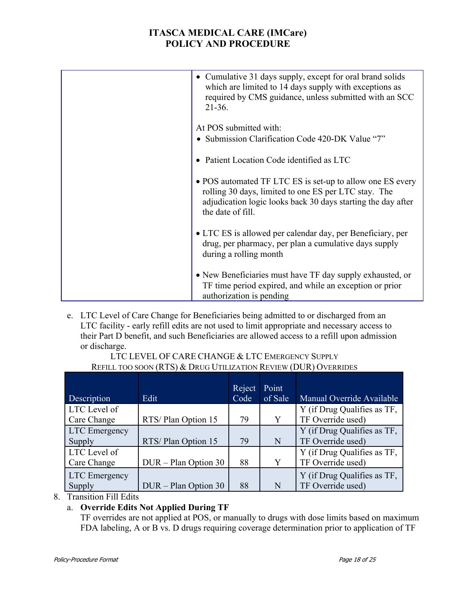| • Cumulative 31 days supply, except for oral brand solids<br>which are limited to 14 days supply with exceptions as<br>required by CMS guidance, unless submitted with an SCC<br>$21-36.$              |
|--------------------------------------------------------------------------------------------------------------------------------------------------------------------------------------------------------|
| At POS submitted with:<br>• Submission Clarification Code 420-DK Value "7"                                                                                                                             |
| • Patient Location Code identified as LTC                                                                                                                                                              |
| • POS automated TF LTC ES is set-up to allow one ES every<br>rolling 30 days, limited to one ES per LTC stay. The<br>adjudication logic looks back 30 days starting the day after<br>the date of fill. |
| • LTC ES is allowed per calendar day, per Beneficiary, per<br>drug, per pharmacy, per plan a cumulative days supply<br>during a rolling month                                                          |
| • New Beneficiaries must have TF day supply exhausted, or<br>TF time period expired, and while an exception or prior<br>authorization is pending                                                       |

e. LTC Level of Care Change for Beneficiaries being admitted to or discharged from an LTC facility - early refill edits are not used to limit appropriate and necessary access to their Part D benefit, and such Beneficiaries are allowed access to a refill upon admission or discharge.

#### LTC LEVEL OF CARE CHANGE & LTC EMERGENCY SUPPLY REFILL TOO SOON (RTS) & DRUG UTILIZATION REVIEW (DUR) OVERRIDES

| Description          | Edit                 | Reject<br>Code | Point<br>of Sale | Manual Override Available   |
|----------------------|----------------------|----------------|------------------|-----------------------------|
| LTC Level of         |                      |                |                  | Y (if Drug Qualifies as TF, |
| Care Change          | RTS/Plan Option 15   | 79             | Y                | TF Override used)           |
| <b>LTC</b> Emergency |                      |                |                  | Y (if Drug Qualifies as TF, |
| Supply               | RTS/Plan Option 15   | 79             | N                | TF Override used)           |
| LTC Level of         |                      |                |                  | Y (if Drug Qualifies as TF, |
| Care Change          | DUR - Plan Option 30 | 88             | Y                | TF Override used)           |
| <b>LTC</b> Emergency |                      |                |                  | Y (if Drug Qualifies as TF, |
| Supply               | DUR - Plan Option 30 | 88             | N                | TF Override used)           |

### 8. Transition Fill Edits

## a. **Override Edits Not Applied During TF**

TF overrides are not applied at POS, or manually to drugs with dose limits based on maximum FDA labeling, A or B vs. D drugs requiring coverage determination prior to application of TF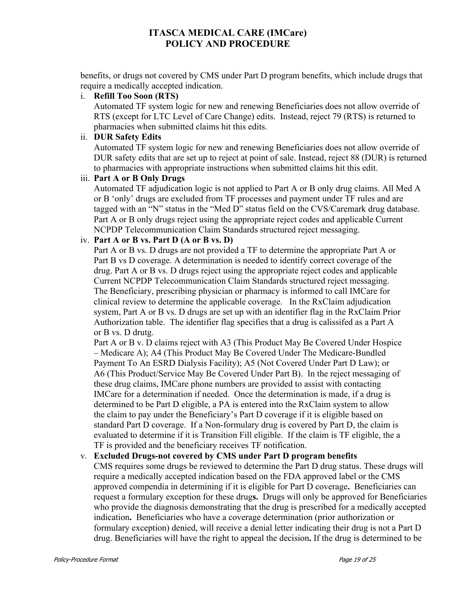benefits, or drugs not covered by CMS under Part D program benefits, which include drugs that require a medically accepted indication.

### i. **Refill Too Soon (RTS)**

Automated TF system logic for new and renewing Beneficiaries does not allow override of RTS (except for LTC Level of Care Change) edits. Instead, reject 79 (RTS) is returned to pharmacies when submitted claims hit this edits.

#### ii. **DUR Safety Edits**

Automated TF system logic for new and renewing Beneficiaries does not allow override of DUR safety edits that are set up to reject at point of sale. Instead, reject 88 (DUR) is returned to pharmacies with appropriate instructions when submitted claims hit this edit.

#### iii. **Part A or B Only Drugs**

Automated TF adjudication logic is not applied to Part A or B only drug claims. All Med A or B 'only' drugs are excluded from TF processes and payment under TF rules and are tagged with an "N" status in the "Med D" status field on the CVS/Caremark drug database. Part A or B only drugs reject using the appropriate reject codes and applicable Current NCPDP Telecommunication Claim Standards structured reject messaging.

### iv. **Part A or B vs. Part D (A or B vs. D)**

Part A or B vs. D drugs are not provided a TF to determine the appropriate Part A or Part B vs D coverage. A determination is needed to identify correct coverage of the drug. Part A or B vs. D drugs reject using the appropriate reject codes and applicable Current NCPDP Telecommunication Claim Standards structured reject messaging. The Beneficiary, prescribing physician or pharmacy is informed to call IMCare for clinical review to determine the applicable coverage. In the RxClaim adjudication system, Part A or B vs. D drugs are set up with an identifier flag in the RxClaim Prior Authorization table. The identifier flag specifies that a drug is calissifed as a Part A or B vs. D drutg.

Part A or B v. D claims reject with A3 (This Product May Be Covered Under Hospice – Medicare A); A4 (This Product May Be Covered Under The Medicare-Bundled Payment To An ESRD Dialysis Facility); A5 (Not Covered Under Part D Law); or A6 (This Product/Service May Be Covered Under Part B). In the reject messaging of these drug claims, IMCare phone numbers are provided to assist with contacting IMCare for a determination if needed. Once the determination is made, if a drug is determined to be Part D eligible, a PA is entered into the RxClaim system to allow the claim to pay under the Beneficiary's Part D coverage if it is eligible based on standard Part D coverage. If a Non-formulary drug is covered by Part D, the claim is evaluated to determine if it is Transition Fill eligible. If the claim is TF eligible, the a TF is provided and the beneficiary receives TF notification.

### v. **Excluded Drugs-not covered by CMS under Part D program benefits**

CMS requires some drugs be reviewed to determine the Part D drug status. These drugs will require a medically accepted indication based on the FDA approved label or the CMS approved compendia in determining if it is eligible for Part D coverage**.** Beneficiaries can request a formulary exception for these drug**s.** Drugs will only be approved for Beneficiaries who provide the diagnosis demonstrating that the drug is prescribed for a medically accepted indication**.** Beneficiaries who have a coverage determination (prior authorization or formulary exception) denied, will receive a denial letter indicating their drug is not a Part D drug. Beneficiaries will have the right to appeal the decision**.** If the drug is determined to be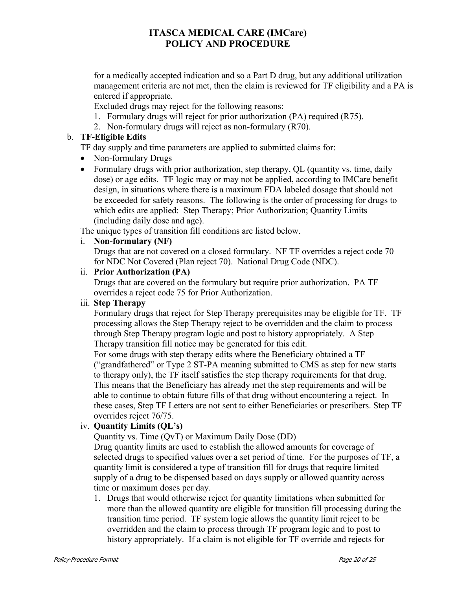for a medically accepted indication and so a Part D drug, but any additional utilization management criteria are not met, then the claim is reviewed for TF eligibility and a PA is entered if appropriate.

Excluded drugs may reject for the following reasons:

- 1. Formulary drugs will reject for prior authorization (PA) required (R75).
- 2. Non-formulary drugs will reject as non-formulary (R70).

### b. **TF-Eligible Edits**

TF day supply and time parameters are applied to submitted claims for:

- Non-formulary Drugs
- Formulary drugs with prior authorization, step therapy, QL (quantity vs. time, daily dose) or age edits. TF logic may or may not be applied, according to IMCare benefit design, in situations where there is a maximum FDA labeled dosage that should not be exceeded for safety reasons. The following is the order of processing for drugs to which edits are applied: Step Therapy; Prior Authorization; Quantity Limits (including daily dose and age).

The unique types of transition fill conditions are listed below.

i. **Non-formulary (NF)** 

Drugs that are not covered on a closed formulary. NF TF overrides a reject code 70 for NDC Not Covered (Plan reject 70). National Drug Code (NDC).

#### ii. **Prior Authorization (PA)**

Drugs that are covered on the formulary but require prior authorization. PA TF overrides a reject code 75 for Prior Authorization.

### iii. **Step Therapy**

Formulary drugs that reject for Step Therapy prerequisites may be eligible for TF. TF processing allows the Step Therapy reject to be overridden and the claim to process through Step Therapy program logic and post to history appropriately. A Step Therapy transition fill notice may be generated for this edit.

For some drugs with step therapy edits where the Beneficiary obtained a TF ("grandfathered" or Type 2 ST-PA meaning submitted to CMS as step for new starts to therapy only), the TF itself satisfies the step therapy requirements for that drug. This means that the Beneficiary has already met the step requirements and will be able to continue to obtain future fills of that drug without encountering a reject. In these cases, Step TF Letters are not sent to either Beneficiaries or prescribers. Step TF overrides reject 76/75.

### iv. **Quantity Limits (QL's)**

Quantity vs. Time (QvT) or Maximum Daily Dose (DD)

Drug quantity limits are used to establish the allowed amounts for coverage of selected drugs to specified values over a set period of time. For the purposes of TF, a quantity limit is considered a type of transition fill for drugs that require limited supply of a drug to be dispensed based on days supply or allowed quantity across time or maximum doses per day.

1. Drugs that would otherwise reject for quantity limitations when submitted for more than the allowed quantity are eligible for transition fill processing during the transition time period. TF system logic allows the quantity limit reject to be overridden and the claim to process through TF program logic and to post to history appropriately. If a claim is not eligible for TF override and rejects for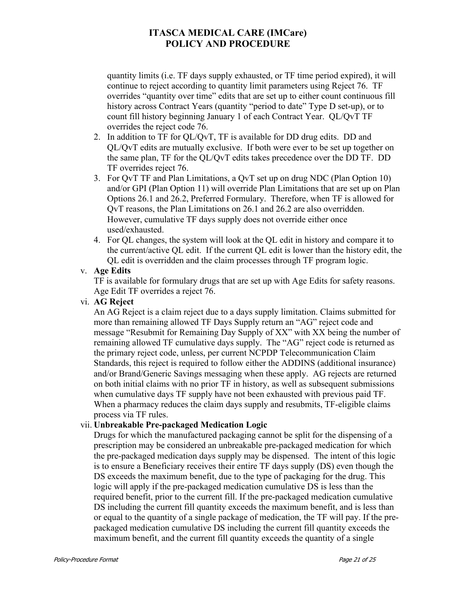quantity limits (i.e. TF days supply exhausted, or TF time period expired), it will continue to reject according to quantity limit parameters using Reject 76. TF overrides "quantity over time" edits that are set up to either count continuous fill history across Contract Years (quantity "period to date" Type D set-up), or to count fill history beginning January 1 of each Contract Year. QL/QvT TF overrides the reject code 76.

- 2. In addition to TF for QL/QvT, TF is available for DD drug edits. DD and QL/QvT edits are mutually exclusive. If both were ever to be set up together on the same plan, TF for the QL/QvT edits takes precedence over the DD TF. DD TF overrides reject 76.
- 3. For QvT TF and Plan Limitations, a QvT set up on drug NDC (Plan Option 10) and/or GPI (Plan Option 11) will override Plan Limitations that are set up on Plan Options 26.1 and 26.2, Preferred Formulary. Therefore, when TF is allowed for QvT reasons, the Plan Limitations on 26.1 and 26.2 are also overridden. However, cumulative TF days supply does not override either once used/exhausted.
- 4. For QL changes, the system will look at the QL edit in history and compare it to the current/active QL edit. If the current QL edit is lower than the history edit, the QL edit is overridden and the claim processes through TF program logic.

#### v. **Age Edits**

TF is available for formulary drugs that are set up with Age Edits for safety reasons. Age Edit TF overrides a reject 76.

### vi. **AG Reject**

An AG Reject is a claim reject due to a days supply limitation. Claims submitted for more than remaining allowed TF Days Supply return an "AG" reject code and message "Resubmit for Remaining Day Supply of XX" with XX being the number of remaining allowed TF cumulative days supply. The "AG" reject code is returned as the primary reject code, unless, per current NCPDP Telecommunication Claim Standards, this reject is required to follow either the ADDINS (additional insurance) and/or Brand/Generic Savings messaging when these apply. AG rejects are returned on both initial claims with no prior TF in history, as well as subsequent submissions when cumulative days TF supply have not been exhausted with previous paid TF. When a pharmacy reduces the claim days supply and resubmits, TF-eligible claims process via TF rules.

#### vii. **Unbreakable Pre-packaged Medication Logic**

Drugs for which the manufactured packaging cannot be split for the dispensing of a prescription may be considered an unbreakable pre-packaged medication for which the pre-packaged medication days supply may be dispensed. The intent of this logic is to ensure a Beneficiary receives their entire TF days supply (DS) even though the DS exceeds the maximum benefit, due to the type of packaging for the drug. This logic will apply if the pre-packaged medication cumulative DS is less than the required benefit, prior to the current fill. If the pre-packaged medication cumulative DS including the current fill quantity exceeds the maximum benefit, and is less than or equal to the quantity of a single package of medication, the TF will pay. If the prepackaged medication cumulative DS including the current fill quantity exceeds the maximum benefit, and the current fill quantity exceeds the quantity of a single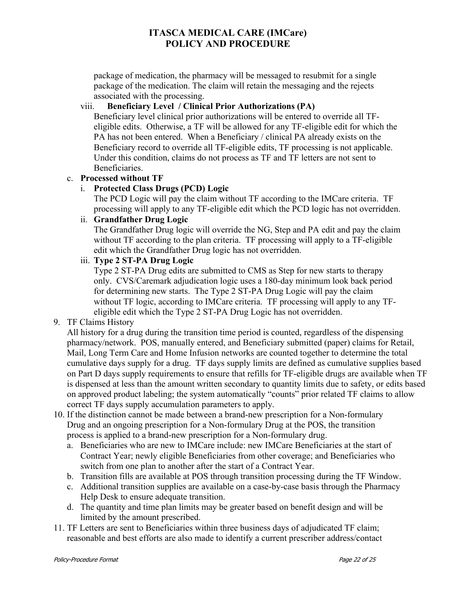package of medication, the pharmacy will be messaged to resubmit for a single package of the medication. The claim will retain the messaging and the rejects associated with the processing.

### viii. **Beneficiary Level / Clinical Prior Authorizations (PA)**

Beneficiary level clinical prior authorizations will be entered to override all TFeligible edits. Otherwise, a TF will be allowed for any TF-eligible edit for which the PA has not been entered. When a Beneficiary / clinical PA already exists on the Beneficiary record to override all TF-eligible edits, TF processing is not applicable. Under this condition, claims do not process as TF and TF letters are not sent to Beneficiaries.

### c. **Processed without TF**

### i. **Protected Class Drugs (PCD) Logic**

The PCD Logic will pay the claim without TF according to the IMCare criteria. TF processing will apply to any TF-eligible edit which the PCD logic has not overridden.

### ii. **Grandfather Drug Logic**

The Grandfather Drug logic will override the NG, Step and PA edit and pay the claim without TF according to the plan criteria. TF processing will apply to a TF-eligible edit which the Grandfather Drug logic has not overridden.

### iii. **Type 2 ST-PA Drug Logic**

Type 2 ST-PA Drug edits are submitted to CMS as Step for new starts to therapy only. CVS/Caremark adjudication logic uses a 180-day minimum look back period for determining new starts. The Type 2 ST-PA Drug Logic will pay the claim without TF logic, according to IMCare criteria. TF processing will apply to any TFeligible edit which the Type 2 ST-PA Drug Logic has not overridden.

## 9. TF Claims History

All history for a drug during the transition time period is counted, regardless of the dispensing pharmacy/network. POS, manually entered, and Beneficiary submitted (paper) claims for Retail, Mail, Long Term Care and Home Infusion networks are counted together to determine the total cumulative days supply for a drug. TF days supply limits are defined as cumulative supplies based on Part D days supply requirements to ensure that refills for TF-eligible drugs are available when TF is dispensed at less than the amount written secondary to quantity limits due to safety, or edits based on approved product labeling; the system automatically "counts" prior related TF claims to allow correct TF days supply accumulation parameters to apply.

- 10. If the distinction cannot be made between a brand-new prescription for a Non-formulary Drug and an ongoing prescription for a Non-formulary Drug at the POS, the transition process is applied to a brand-new prescription for a Non-formulary drug.
	- a. Beneficiaries who are new to IMCare include: new IMCare Beneficiaries at the start of Contract Year; newly eligible Beneficiaries from other coverage; and Beneficiaries who switch from one plan to another after the start of a Contract Year.
	- b. Transition fills are available at POS through transition processing during the TF Window.
	- c. Additional transition supplies are available on a case-by-case basis through the Pharmacy Help Desk to ensure adequate transition.
	- d. The quantity and time plan limits may be greater based on benefit design and will be limited by the amount prescribed.
- 11. TF Letters are sent to Beneficiaries within three business days of adjudicated TF claim; reasonable and best efforts are also made to identify a current prescriber address/contact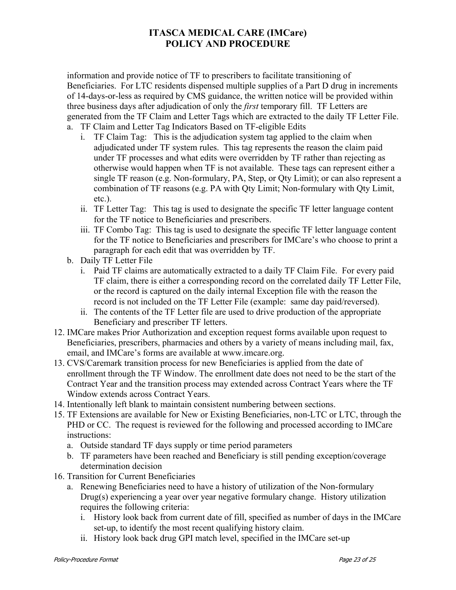information and provide notice of TF to prescribers to facilitate transitioning of Beneficiaries. For LTC residents dispensed multiple supplies of a Part D drug in increments of 14-days-or-less as required by CMS guidance, the written notice will be provided within three business days after adjudication of only the *first* temporary fill. TF Letters are generated from the TF Claim and Letter Tags which are extracted to the daily TF Letter File.

- a. TF Claim and Letter Tag Indicators Based on TF-eligible Edits
	- i. TF Claim Tag: This is the adjudication system tag applied to the claim when adjudicated under TF system rules. This tag represents the reason the claim paid under TF processes and what edits were overridden by TF rather than rejecting as otherwise would happen when TF is not available. These tags can represent either a single TF reason (e.g. Non-formulary, PA, Step, or Qty Limit); or can also represent a combination of TF reasons (e.g. PA with Qty Limit; Non-formulary with Qty Limit, etc.).
	- ii. TF Letter Tag: This tag is used to designate the specific TF letter language content for the TF notice to Beneficiaries and prescribers.
	- iii. TF Combo Tag: This tag is used to designate the specific TF letter language content for the TF notice to Beneficiaries and prescribers for IMCare's who choose to print a paragraph for each edit that was overridden by TF.
- b. Daily TF Letter File
	- i. Paid TF claims are automatically extracted to a daily TF Claim File. For every paid TF claim, there is either a corresponding record on the correlated daily TF Letter File, or the record is captured on the daily internal Exception file with the reason the record is not included on the TF Letter File (example: same day paid/reversed).
	- ii. The contents of the TF Letter file are used to drive production of the appropriate Beneficiary and prescriber TF letters.
- 12. IMCare makes Prior Authorization and exception request forms available upon request to Beneficiaries, prescribers, pharmacies and others by a variety of means including mail, fax, email, and IMCare's forms are available at www.imcare.org.
- 13. CVS/Caremark transition process for new Beneficiaries is applied from the date of enrollment through the TF Window. The enrollment date does not need to be the start of the Contract Year and the transition process may extended across Contract Years where the TF Window extends across Contract Years.
- 14. Intentionally left blank to maintain consistent numbering between sections.
- 15. TF Extensions are available for New or Existing Beneficiaries, non-LTC or LTC, through the PHD or CC. The request is reviewed for the following and processed according to IMCare instructions:
	- a. Outside standard TF days supply or time period parameters
	- b. TF parameters have been reached and Beneficiary is still pending exception/coverage determination decision
- 16. Transition for Current Beneficiaries
	- a. Renewing Beneficiaries need to have a history of utilization of the Non-formulary Drug(s) experiencing a year over year negative formulary change. History utilization requires the following criteria:
		- i. History look back from current date of fill, specified as number of days in the IMCare set-up, to identify the most recent qualifying history claim.
		- ii. History look back drug GPI match level, specified in the IMCare set-up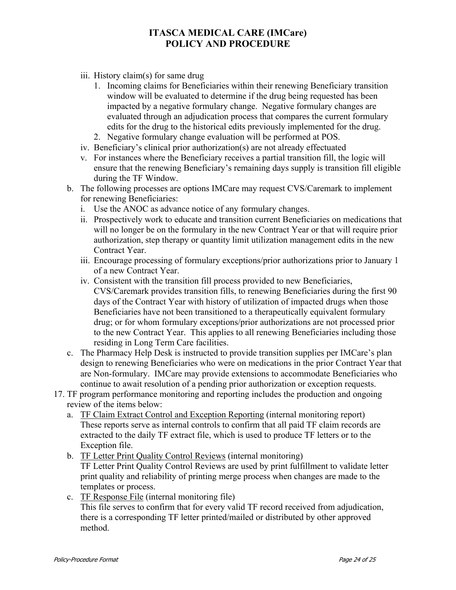- iii. History claim(s) for same drug
	- 1. Incoming claims for Beneficiaries within their renewing Beneficiary transition window will be evaluated to determine if the drug being requested has been impacted by a negative formulary change. Negative formulary changes are evaluated through an adjudication process that compares the current formulary edits for the drug to the historical edits previously implemented for the drug.
	- 2. Negative formulary change evaluation will be performed at POS.
- iv. Beneficiary's clinical prior authorization(s) are not already effectuated
- v. For instances where the Beneficiary receives a partial transition fill, the logic will ensure that the renewing Beneficiary's remaining days supply is transition fill eligible during the TF Window.
- b. The following processes are options IMCare may request CVS/Caremark to implement for renewing Beneficiaries:
	- i. Use the ANOC as advance notice of any formulary changes.
	- ii. Prospectively work to educate and transition current Beneficiaries on medications that will no longer be on the formulary in the new Contract Year or that will require prior authorization, step therapy or quantity limit utilization management edits in the new Contract Year.
	- iii. Encourage processing of formulary exceptions/prior authorizations prior to January 1 of a new Contract Year.
	- iv. Consistent with the transition fill process provided to new Beneficiaries, CVS/Caremark provides transition fills, to renewing Beneficiaries during the first 90 days of the Contract Year with history of utilization of impacted drugs when those Beneficiaries have not been transitioned to a therapeutically equivalent formulary drug; or for whom formulary exceptions/prior authorizations are not processed prior to the new Contract Year. This applies to all renewing Beneficiaries including those residing in Long Term Care facilities.
- c. The Pharmacy Help Desk is instructed to provide transition supplies per IMCare's plan design to renewing Beneficiaries who were on medications in the prior Contract Year that are Non-formulary. IMCare may provide extensions to accommodate Beneficiaries who continue to await resolution of a pending prior authorization or exception requests.
- 17. TF program performance monitoring and reporting includes the production and ongoing review of the items below:
	- a. TF Claim Extract Control and Exception Reporting (internal monitoring report) These reports serve as internal controls to confirm that all paid TF claim records are extracted to the daily TF extract file, which is used to produce TF letters or to the Exception file.
	- b. TF Letter Print Quality Control Reviews (internal monitoring)

TF Letter Print Quality Control Reviews are used by print fulfillment to validate letter print quality and reliability of printing merge process when changes are made to the templates or process.

c. TF Response File (internal monitoring file) This file serves to confirm that for every valid TF record received from adjudication, there is a corresponding TF letter printed/mailed or distributed by other approved method.